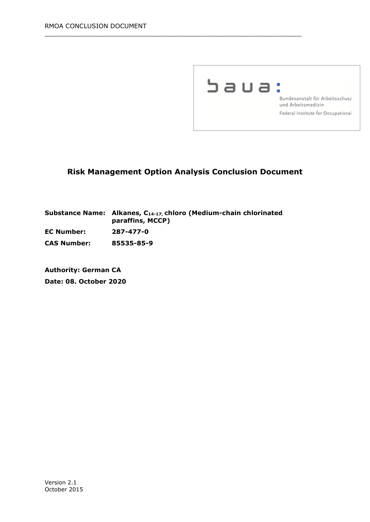

# **Risk Management Option Analysis Conclusion Document**

 $\_$  , and the set of the set of the set of the set of the set of the set of the set of the set of the set of the set of the set of the set of the set of the set of the set of the set of the set of the set of the set of th

|                    | Substance Name: Alkanes, C14-17, chloro (Medium-chain chlorinated<br>paraffins, MCCP) |
|--------------------|---------------------------------------------------------------------------------------|
| <b>EC Number:</b>  | 287-477-0                                                                             |
| <b>CAS Number:</b> | 85535-85-9                                                                            |

**Authority: German CA Date: 08. October 2020**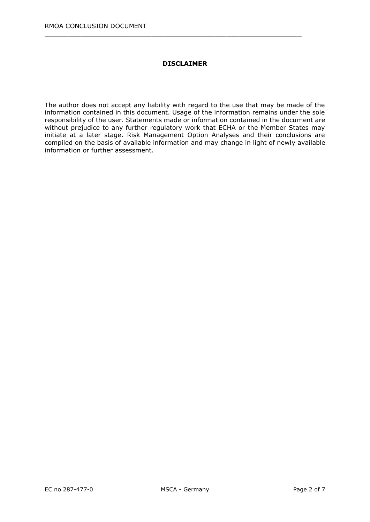#### **DISCLAIMER**

 $\_$  , and the set of the set of the set of the set of the set of the set of the set of the set of the set of the set of the set of the set of the set of the set of the set of the set of the set of the set of the set of th

The author does not accept any liability with regard to the use that may be made of the information contained in this document. Usage of the information remains under the sole responsibility of the user. Statements made or information contained in the document are without prejudice to any further regulatory work that ECHA or the Member States may initiate at a later stage. Risk Management Option Analyses and their conclusions are compiled on the basis of available information and may change in light of newly available information or further assessment.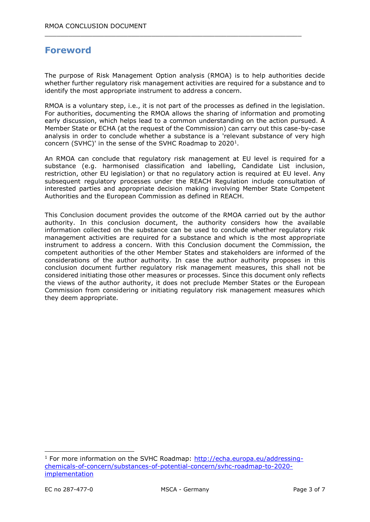# **Foreword**

The purpose of Risk Management Option analysis (RMOA) is to help authorities decide whether further regulatory risk management activities are required for a substance and to identify the most appropriate instrument to address a concern.

 $\_$  , and the set of the set of the set of the set of the set of the set of the set of the set of the set of the set of the set of the set of the set of the set of the set of the set of the set of the set of the set of th

RMOA is a voluntary step, i.e., it is not part of the processes as defined in the legislation. For authorities, documenting the RMOA allows the sharing of information and promoting early discussion, which helps lead to a common understanding on the action pursued. A Member State or ECHA (at the request of the Commission) can carry out this case-by-case analysis in order to conclude whether a substance is a 'relevant substance of very high concern (SVHC)' in the sense of the SVHC Roadmap to  $2020<sup>1</sup>$ .

An RMOA can conclude that regulatory risk management at EU level is required for a substance (e.g. harmonised classification and labelling, Candidate List inclusion, restriction, other EU legislation) or that no regulatory action is required at EU level. Any subsequent regulatory processes under the REACH Regulation include consultation of interested parties and appropriate decision making involving Member State Competent Authorities and the European Commission as defined in REACH.

This Conclusion document provides the outcome of the RMOA carried out by the author authority. In this conclusion document, the authority considers how the available information collected on the substance can be used to conclude whether regulatory risk management activities are required for a substance and which is the most appropriate instrument to address a concern. With this Conclusion document the Commission, the competent authorities of the other Member States and stakeholders are informed of the considerations of the author authority. In case the author authority proposes in this conclusion document further regulatory risk management measures, this shall not be considered initiating those other measures or processes. Since this document only reflects the views of the author authority, it does not preclude Member States or the European Commission from considering or initiating regulatory risk management measures which they deem appropriate.

-

 $1$  For more information on the SVHC Roadmap: [http://echa.europa.eu/addressing](http://echa.europa.eu/addressing-chemicals-of-concern/substances-of-potential-concern/svhc-roadmap-to-2020-implementation)[chemicals-of-concern/substances-of-potential-concern/svhc-roadmap-to-2020](http://echa.europa.eu/addressing-chemicals-of-concern/substances-of-potential-concern/svhc-roadmap-to-2020-implementation) [implementation](http://echa.europa.eu/addressing-chemicals-of-concern/substances-of-potential-concern/svhc-roadmap-to-2020-implementation)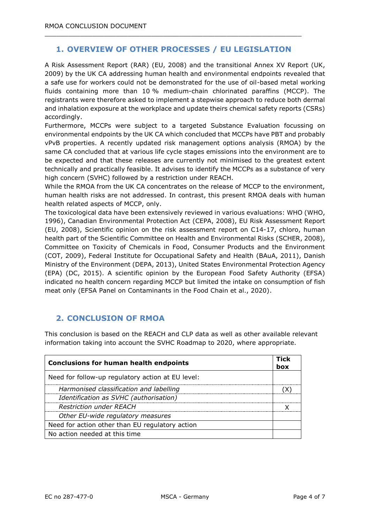# **1. OVERVIEW OF OTHER PROCESSES / EU LEGISLATION**

 $\_$  , and the set of the set of the set of the set of the set of the set of the set of the set of the set of the set of the set of the set of the set of the set of the set of the set of the set of the set of the set of th

A Risk Assessment Report (RAR) (EU, 2008) and the transitional Annex XV Report (UK, 2009) by the UK CA addressing human health and environmental endpoints revealed that a safe use for workers could not be demonstrated for the use of oil-based metal working fluids containing more than 10 % medium-chain chlorinated paraffins (MCCP). The registrants were therefore asked to implement a stepwise approach to reduce both dermal and inhalation exposure at the workplace and update theirs chemical safety reports (CSRs) accordingly.

Furthermore, MCCPs were subject to a targeted Substance Evaluation focussing on environmental endpoints by the UK CA which concluded that MCCPs have PBT and probably vPvB properties. A recently updated risk management options analysis (RMOA) by the same CA concluded that at various life cycle stages emissions into the environment are to be expected and that these releases are currently not minimised to the greatest extent technically and practically feasible. It advises to identify the MCCPs as a substance of very high concern (SVHC) followed by a restriction under REACH.

While the RMOA from the UK CA concentrates on the release of MCCP to the environment, human health risks are not addressed. In contrast, this present RMOA deals with human health related aspects of MCCP, only.

The toxicological data have been extensively reviewed in various evaluations: WHO (WHO, 1996), Canadian Environmental Protection Act (CEPA, 2008), EU Risk Assessment Report (EU, 2008), Scientific opinion on the risk assessment report on C14-17, chloro, human health part of the Scientific Committee on Health and Environmental Risks (SCHER, 2008), Committee on Toxicity of Chemicals in Food, Consumer Products and the Environment (COT, 2009), Federal Institute for Occupational Safety and Health (BAuA, 2011), Danish Ministry of the Environment (DEPA, 2013), United States Environmental Protection Agency (EPA) (DC, 2015). A scientific opinion by the European Food Safety Authority (EFSA) indicated no health concern regarding MCCP but limited the intake on consumption of fish meat only (EFSA Panel on Contaminants in the Food Chain et al., 2020).

### **2. CONCLUSION OF RMOA**

This conclusion is based on the REACH and CLP data as well as other available relevant information taking into account the SVHC Roadmap to 2020, where appropriate.

| <b>Conclusions for human health endpoints</b>     |  |  |
|---------------------------------------------------|--|--|
| Need for follow-up regulatory action at EU level: |  |  |
| Harmonised classification and labelling           |  |  |
| Identification as SVHC (authorisation)            |  |  |
| <b>Restriction under REACH</b>                    |  |  |
| Other EU-wide regulatory measures                 |  |  |
| Need for action other than EU regulatory action   |  |  |
| No action needed at this time                     |  |  |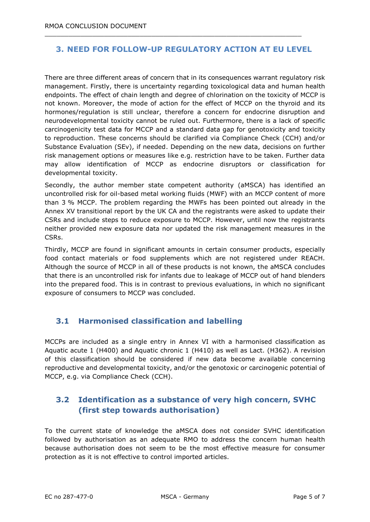#### **3. NEED FOR FOLLOW-UP REGULATORY ACTION AT EU LEVEL**

 $\_$  , and the set of the set of the set of the set of the set of the set of the set of the set of the set of the set of the set of the set of the set of the set of the set of the set of the set of the set of the set of th

There are three different areas of concern that in its consequences warrant regulatory risk management. Firstly, there is uncertainty regarding toxicological data and human health endpoints. The effect of chain length and degree of chlorination on the toxicity of MCCP is not known. Moreover, the mode of action for the effect of MCCP on the thyroid and its hormones/regulation is still unclear, therefore a concern for endocrine disruption and neurodevelopmental toxicity cannot be ruled out. Furthermore, there is a lack of specific carcinogenicity test data for MCCP and a standard data gap for genotoxicity and toxicity to reproduction. These concerns should be clarified via Compliance Check (CCH) and/or Substance Evaluation (SEv), if needed. Depending on the new data, decisions on further risk management options or measures like e.g. restriction have to be taken. Further data may allow identification of MCCP as endocrine disruptors or classification for developmental toxicity.

Secondly, the author member state competent authority (aMSCA) has identified an uncontrolled risk for oil-based metal working fluids (MWF) with an MCCP content of more than 3 % MCCP. The problem regarding the MWFs has been pointed out already in the Annex XV transitional report by the UK CA and the registrants were asked to update their CSRs and include steps to reduce exposure to MCCP. However, until now the registrants neither provided new exposure data nor updated the risk management measures in the CSRs.

Thirdly, MCCP are found in significant amounts in certain consumer products, especially food contact materials or food supplements which are not registered under REACH. Although the source of MCCP in all of these products is not known, the aMSCA concludes that there is an uncontrolled risk for infants due to leakage of MCCP out of hand blenders into the prepared food. This is in contrast to previous evaluations, in which no significant exposure of consumers to MCCP was concluded.

### **3.1 Harmonised classification and labelling**

MCCPs are included as a single entry in Annex VI with a harmonised classification as Aquatic acute 1 (H400) and Aquatic chronic 1 (H410) as well as Lact. (H362). A revision of this classification should be considered if new data become available concerning reproductive and developmental toxicity, and/or the genotoxic or carcinogenic potential of MCCP, e.g. via Compliance Check (CCH).

# **3.2 Identification as a substance of very high concern, SVHC (first step towards authorisation)**

To the current state of knowledge the aMSCA does not consider SVHC identification followed by authorisation as an adequate RMO to address the concern human health because authorisation does not seem to be the most effective measure for consumer protection as it is not effective to control imported articles.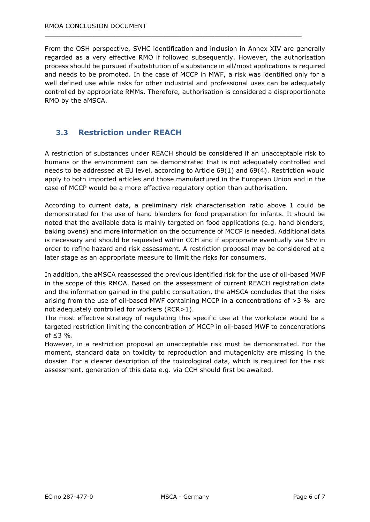From the OSH perspective, SVHC identification and inclusion in Annex XIV are generally regarded as a very effective RMO if followed subsequently. However, the authorisation process should be pursued if substitution of a substance in all/most applications is required and needs to be promoted. In the case of MCCP in MWF, a risk was identified only for a well defined use while risks for other industrial and professional uses can be adequately controlled by appropriate RMMs. Therefore, authorisation is considered a disproportionate RMO by the aMSCA.

 $\_$  , and the set of the set of the set of the set of the set of the set of the set of the set of the set of the set of the set of the set of the set of the set of the set of the set of the set of the set of the set of th

#### **3.3 Restriction under REACH**

A restriction of substances under REACH should be considered if an unacceptable risk to humans or the environment can be demonstrated that is not adequately controlled and needs to be addressed at EU level, according to Article 69(1) and 69(4). Restriction would apply to both imported articles and those manufactured in the European Union and in the case of MCCP would be a more effective regulatory option than authorisation.

According to current data, a preliminary risk characterisation ratio above 1 could be demonstrated for the use of hand blenders for food preparation for infants. It should be noted that the available data is mainly targeted on food applications (e.g. hand blenders, baking ovens) and more information on the occurrence of MCCP is needed. Additional data is necessary and should be requested within CCH and if appropriate eventually via SEv in order to refine hazard and risk assessment. A restriction proposal may be considered at a later stage as an appropriate measure to limit the risks for consumers.

In addition, the aMSCA reassessed the previous identified risk for the use of oil-based MWF in the scope of this RMOA. Based on the assessment of current REACH registration data and the information gained in the public consultation, the aMSCA concludes that the risks arising from the use of oil-based MWF containing MCCP in a concentrations of  $>3$  % are not adequately controlled for workers (RCR>1).

The most effective strategy of regulating this specific use at the workplace would be a targeted restriction limiting the concentration of MCCP in oil-based MWF to concentrations of  $\leq$  3 %.

However, in a restriction proposal an unacceptable risk must be demonstrated. For the moment, standard data on toxicity to reproduction and mutagenicity are missing in the dossier. For a clearer description of the toxicological data, which is required for the risk assessment, generation of this data e.g. via CCH should first be awaited.